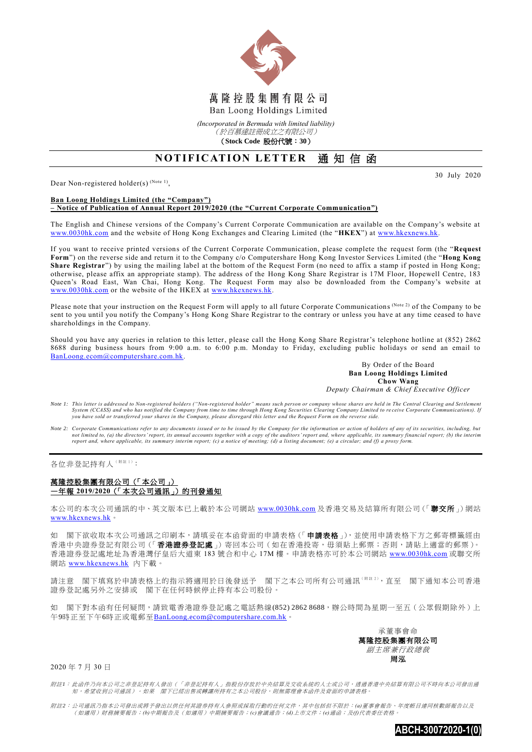

*(Incorporated in Bermuda with limited liability)* (於百慕達註冊成立之有限公司)

(**Stock Code** 股份代號:**30**)

## **NOTIFICATION LETTER 通知信函**

Dear Non-registered holder(s)  $^{(Note 1)}$ ,

30 July 2020

## **Ban Loong Holdings Limited (the "Company") – Notice of Publication of Annual Report 2019/2020 (the "Current Corporate Communication")**

The English and Chinese versions of the Company's Current Corporate Communication are available on the Company's website at [www.0030hk.com](http://www.0030hk.com/) and the website of Hong Kong Exchanges and Clearing Limited (the "**HKEX**") at [www.hkexnews.hk.](http://www.hkexnews.hk/)

If you want to receive printed versions of the Current Corporate Communication, please complete the request form (the "**Request Form**") on the reverse side and return it to the Company c/o Computershare Hong Kong Investor Services Limited (the "**Hong Kong Share Registrar**") by using the mailing label at the bottom of the Request Form (no need to affix a stamp if posted in Hong Kong; otherwise, please affix an appropriate stamp). The address of the Hong Kong Share Registrar is 17M Floor, Hopewell Centre, 183 Queen's Road East, Wan Chai, Hong Kong. The Request Form may also be downloaded from the Company's website at [www.0030hk.com](http://www.0030hk.com/) or the website of the HKEX at [www.hkexnews.hk.](http://www.hkexnews.hk/)

Please note that your instruction on the Request Form will apply to all future Corporate Communications (Note 2) of the Company to be sent to you until you notify the Company's Hong Kong Share Registrar to the contrary or unless you have at any time ceased to have shareholdings in the Company.

Should you have any queries in relation to this letter, please call the Hong Kong Share Registrar's telephone hotline at (852) 2862 8688 during business hours from 9:00 a.m. to 6:00 p.m. Monday to Friday, excluding public holidays or send an email to [BanLoong.ecom@computershare.com.hk.](mailto:BanLoong.ecom@computershare.com.hk)

> By Order of the Board **Ban Loong Holdings Limited Chow Wang** *Deputy Chairman & Chief Executive Officer*

- *Note 1: This letter is addressed to Non-registered holders ("Non-registered holder" means such person or company whose shares are held in The Central Clearing and Set tlement*  System (CCASS) and who has notified the Company from time to time through Hong Kong Securities Clearing Company Limited to receive Corporate Communications). If<br>you have sold or transferred your shares in the Company, plea
- *Note 2: Corporate Communications refer to any documents issued or to be issued by the Company for the information or action of holders of any of its securities, including, but*  not limited to, (a) the directors' report, its annual accounts together with a copy of the auditors' report and, where applicable, its summary financial report; (b) the interim<br>report and, where applicable, its summary int

各位非登記持有人(附註1):

## 萬隆控股集團有限公司(「本公司」) —年報 **2019/2020**(「本次公司通訊」)的刊發通知

本公司的本次公司通訊的中、英文版本已上載於本公司網站 [www.0030hk.com](http://www.0030hk.com/) 及香港交易及結算所有限公司(「聯交所」)網站 [www.hkexnews.hk](http://www.hkexnews.hk/)。

如 閣下欲收取本次公司通訊之印刷本,請填妥在本函背面的申請表格(「申請表格」),並使用申請表格下方之郵寄標籤經由 香港中央證券登記有限公司(「香港證券登記處」)寄回本公司(如在香港投寄,毋須貼上郵票;否則,請貼上適當的郵票)。 香港證券登記處地址為香港灣仔皇后大道東 183 號合和中心 17M 樓。申請表格亦可於本公司網站 [www.0030hk.com](http://www.0030hk.com/) 或聯交所 網站 [www.hkexnews.hk](http://www.hkexnews.hk/) 內下載。

請注意 閣下填寫於申請表格上的指示將適用於日後發送予 閣下之本公司所有公司通訊( $\text{min}^{k}$ ),直至 閣下通知本公司香港 證券登記處另外之安排或 閣下在任何時候停止持有本公司股份。

如 閣下對本函有任何疑問,請致電香港證券登記處之電話熱線(852) 2862 8688,辦公時間為星期一至五(公眾假期除外)上 午9時正至下午6時正或電郵至[BanLoong.ecom@computershare.com.hk](mailto:BanLoong.ecom@computershare.com.hk)。



2020 年 7 月 30 日

附註*1*: 此函件乃向本公司之非登記持有人發出(「非登記持有人」指股份存放於中央結算及交收系統的人士或公司,透過香港中央結算有限公司不時向本公司發出通 知,希望收到公司通訊)。如果 閣下已經出售或轉讓所持有之本公司股份,則無需理會本函件及背面的申請表格。

附註*2*: 公司通訊乃指本公司發出或將予發出以供任何其證券持有人參照或採取行動的任何文件,其中包括但不限於:*(a)*董事會報告、年度帳目連同核數師報告以及 (如適用)財務摘要報告;*(b)*中期報告及(如適用)中期摘要報告;*(c)*會議通告;*(d)*上市文件;*(e)*通函;及*(f)*代表委任表格。